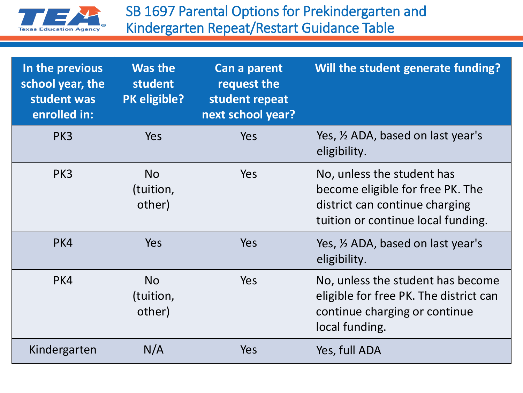

| In the previous<br>school year, the<br>student was<br>enrolled in: | <b>Was the</b><br>student<br>PK eligible? | Can a parent<br>request the<br>student repeat<br>next school year? | Will the student generate funding?                                                                                                     |
|--------------------------------------------------------------------|-------------------------------------------|--------------------------------------------------------------------|----------------------------------------------------------------------------------------------------------------------------------------|
| PK3                                                                | <b>Yes</b>                                | <b>Yes</b>                                                         | Yes, 1/2 ADA, based on last year's<br>eligibility.                                                                                     |
| PK3                                                                | <b>No</b><br>(tuition,<br>other)          | <b>Yes</b>                                                         | No, unless the student has<br>become eligible for free PK. The<br>district can continue charging<br>tuition or continue local funding. |
| PK4                                                                | Yes                                       | <b>Yes</b>                                                         | Yes, 1/2 ADA, based on last year's<br>eligibility.                                                                                     |
| PK4                                                                | <b>No</b><br>(tuition,<br>other)          | Yes                                                                | No, unless the student has become<br>eligible for free PK. The district can<br>continue charging or continue<br>local funding.         |
| Kindergarten                                                       | N/A                                       | Yes                                                                | Yes, full ADA                                                                                                                          |